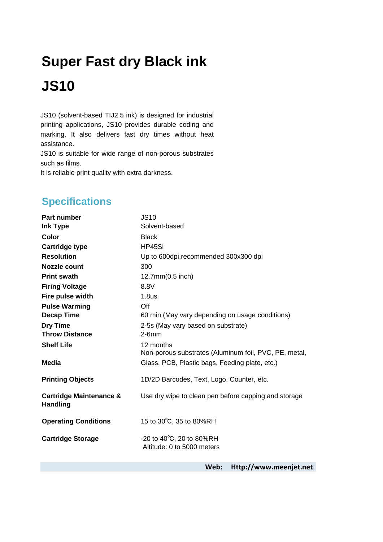## **Super Fast dry Black ink JS10**

JS10 (solvent-based TIJ2.5 ink) is designed for industrial printing applications, JS10 provides durable coding and marking. It also delivers fast dry times without heat assistance.

JS10 is suitable for wide range of non-porous substrates such as films.

It is reliable print quality with extra darkness.

## **Specifications**

| <b>Part number</b>                                    | <b>JS10</b>                                                        |
|-------------------------------------------------------|--------------------------------------------------------------------|
| Ink Type                                              | Solvent-based                                                      |
| Color                                                 | <b>Black</b>                                                       |
| <b>Cartridge type</b>                                 | HP45Si                                                             |
| <b>Resolution</b>                                     | Up to 600dpi, recommended 300x300 dpi                              |
| <b>Nozzle count</b>                                   | 300                                                                |
| <b>Print swath</b>                                    | 12.7mm(0.5 inch)                                                   |
| <b>Firing Voltage</b>                                 | 8.8V                                                               |
| Fire pulse width                                      | 1.8 <sub>us</sub>                                                  |
| <b>Pulse Warming</b>                                  | Off                                                                |
| <b>Decap Time</b>                                     | 60 min (May vary depending on usage conditions)                    |
| <b>Dry Time</b>                                       | 2-5s (May vary based on substrate)                                 |
| <b>Throw Distance</b>                                 | $2-6mm$                                                            |
| <b>Shelf Life</b>                                     | 12 months<br>Non-porous substrates (Aluminum foil, PVC, PE, metal, |
| <b>Media</b>                                          | Glass, PCB, Plastic bags, Feeding plate, etc.)                     |
| <b>Printing Objects</b>                               | 1D/2D Barcodes, Text, Logo, Counter, etc.                          |
| <b>Cartridge Maintenance &amp;</b><br><b>Handling</b> | Use dry wipe to clean pen before capping and storage               |
| <b>Operating Conditions</b>                           | 15 to 30°C, 35 to 80%RH                                            |
| <b>Cartridge Storage</b>                              | -20 to $40^{\circ}$ C, 20 to 80%RH<br>Altitude: 0 to 5000 meters   |

**Web: [Http://www.meenjet.net](http://www.meenjet.net/)**